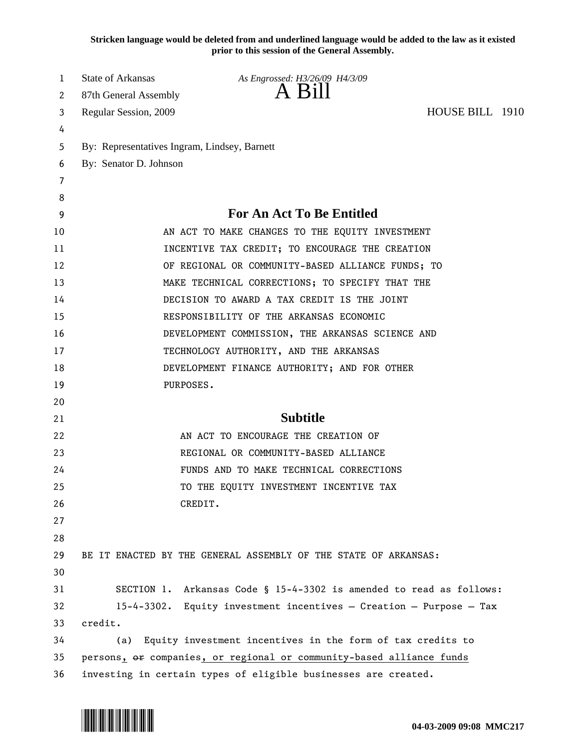**Stricken language would be deleted from and underlined language would be added to the law as it existed prior to this session of the General Assembly.**

| 1                     | <b>State of Arkansas</b>                     | As Engrossed: H3/26/09 H4/3/09                                        |                 |  |
|-----------------------|----------------------------------------------|-----------------------------------------------------------------------|-----------------|--|
| $\mathbf{2}^{\prime}$ | 87th General Assembly                        | A Bill                                                                |                 |  |
| 3                     | Regular Session, 2009                        |                                                                       | HOUSE BILL 1910 |  |
| 4                     |                                              |                                                                       |                 |  |
| 5                     | By: Representatives Ingram, Lindsey, Barnett |                                                                       |                 |  |
| 6                     | By: Senator D. Johnson                       |                                                                       |                 |  |
| 7                     |                                              |                                                                       |                 |  |
| 8                     |                                              |                                                                       |                 |  |
| 9                     |                                              | <b>For An Act To Be Entitled</b>                                      |                 |  |
| 10                    |                                              | AN ACT TO MAKE CHANGES TO THE EQUITY INVESTMENT                       |                 |  |
| 11                    |                                              | INCENTIVE TAX CREDIT; TO ENCOURAGE THE CREATION                       |                 |  |
| 12                    |                                              | OF REGIONAL OR COMMUNITY-BASED ALLIANCE FUNDS; TO                     |                 |  |
| 13                    |                                              | MAKE TECHNICAL CORRECTIONS; TO SPECIFY THAT THE                       |                 |  |
| 14                    |                                              | DECISION TO AWARD A TAX CREDIT IS THE JOINT                           |                 |  |
| 15                    |                                              | RESPONSIBILITY OF THE ARKANSAS ECONOMIC                               |                 |  |
| 16                    |                                              | DEVELOPMENT COMMISSION, THE ARKANSAS SCIENCE AND                      |                 |  |
| 17                    |                                              | TECHNOLOGY AUTHORITY, AND THE ARKANSAS                                |                 |  |
| 18                    |                                              | DEVELOPMENT FINANCE AUTHORITY; AND FOR OTHER                          |                 |  |
| 19                    | PURPOSES.                                    |                                                                       |                 |  |
| 20                    |                                              |                                                                       |                 |  |
| 21                    |                                              | <b>Subtitle</b>                                                       |                 |  |
| 22                    |                                              | AN ACT TO ENCOURAGE THE CREATION OF                                   |                 |  |
| 23                    |                                              | REGIONAL OR COMMUNITY-BASED ALLIANCE                                  |                 |  |
| 24                    |                                              | FUNDS AND TO MAKE TECHNICAL CORRECTIONS                               |                 |  |
| 25                    |                                              | TO THE EQUITY INVESTMENT INCENTIVE TAX                                |                 |  |
| 26                    |                                              | CREDIT.                                                               |                 |  |
| 27                    |                                              |                                                                       |                 |  |
| 28                    |                                              |                                                                       |                 |  |
| 29                    |                                              | BE IT ENACTED BY THE GENERAL ASSEMBLY OF THE STATE OF ARKANSAS:       |                 |  |
| 30                    |                                              |                                                                       |                 |  |
| 31                    |                                              | SECTION 1. Arkansas Code § 15-4-3302 is amended to read as follows:   |                 |  |
| 32                    |                                              | $15-4-3302$ . Equity investment incentives - Creation - Purpose - Tax |                 |  |
| 33                    | credit.                                      |                                                                       |                 |  |
| 34                    | (a)                                          | Equity investment incentives in the form of tax credits to            |                 |  |
| 35                    |                                              | persons, or companies, or regional or community-based alliance funds  |                 |  |
| 36                    |                                              | investing in certain types of eligible businesses are created.        |                 |  |

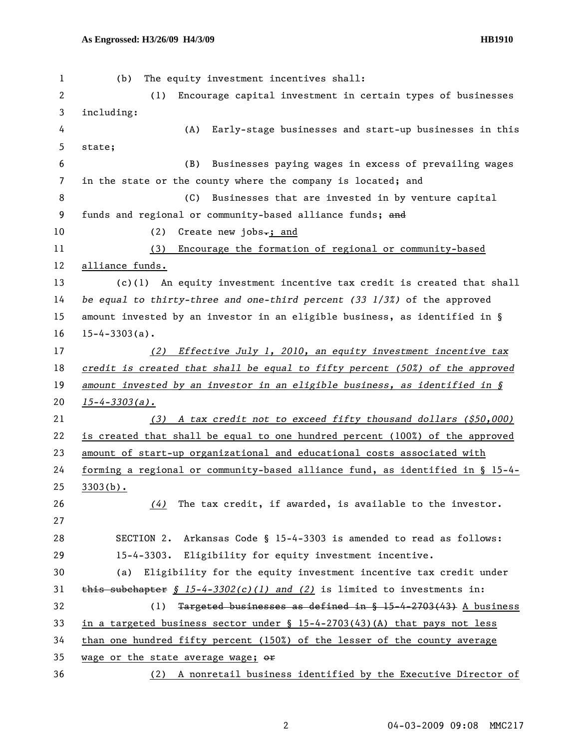| 1  | The equity investment incentives shall:<br>(b)                                   |
|----|----------------------------------------------------------------------------------|
| 2  | Encourage capital investment in certain types of businesses<br>(1)               |
| 3  | including:                                                                       |
| 4  | (A)<br>Early-stage businesses and start-up businesses in this                    |
| 5  | state;                                                                           |
| 6  | Businesses paying wages in excess of prevailing wages<br>(B)                     |
| 7  | in the state or the county where the company is located; and                     |
| 8  | (C)<br>Businesses that are invested in by venture capital                        |
| 9  | funds and regional or community-based alliance funds; and                        |
| 10 | (2)<br>Create new jobs $\div$ ; and                                              |
| 11 | Encourage the formation of regional or community-based<br>(3)                    |
| 12 | alliance funds.                                                                  |
| 13 | An equity investment incentive tax credit is created that shall<br>(c)(1)        |
| 14 | be equal to thirty-three and one-third percent $(33 \t1/3\t\%)$ of the approved  |
| 15 | amount invested by an investor in an eligible business, as identified in $\S$    |
| 16 | $15 - 4 - 3303(a)$ .                                                             |
| 17 | (2) Effective July 1, 2010, an equity investment incentive tax                   |
| 18 | credit is created that shall be equal to fifty percent $(50\%)$ of the approved  |
| 19 | amount invested by an investor in an eligible business, as identified in $\S$    |
| 20 | $15 - 4 - 3303(a)$ .                                                             |
| 21 | A tax credit not to exceed fifty thousand dollars (\$50,000)<br>(3)              |
| 22 | is created that shall be equal to one hundred percent (100%) of the approved     |
| 23 | amount of start-up organizational and educational costs associated with          |
| 24 | forming a regional or community-based alliance fund, as identified in $\S$ 15-4- |
| 25 | $3303(b)$ .                                                                      |
| 26 | The tax credit, if awarded, is available to the investor.<br>(4)                 |
| 27 |                                                                                  |
| 28 | SECTION 2.<br>Arkansas Code § 15-4-3303 is amended to read as follows:           |
| 29 | 15-4-3303. Eligibility for equity investment incentive.                          |
| 30 | (a) Eligibility for the equity investment incentive tax credit under             |
| 31 | this subchapter § $15-4-3302(c)(1)$ and (2) is limited to investments in:        |
| 32 | Targeted businesses as defined in § 15-4-2703(43) A business<br>(1)              |
| 33 | in a targeted business sector under $\S$ 15-4-2703(43)(A) that pays not less     |
| 34 | than one hundred fifty percent (150%) of the lesser of the county average        |
| 35 | wage or the state average wage; or                                               |
| 36 | A nonretail business identified by the Executive Director of<br>(2)              |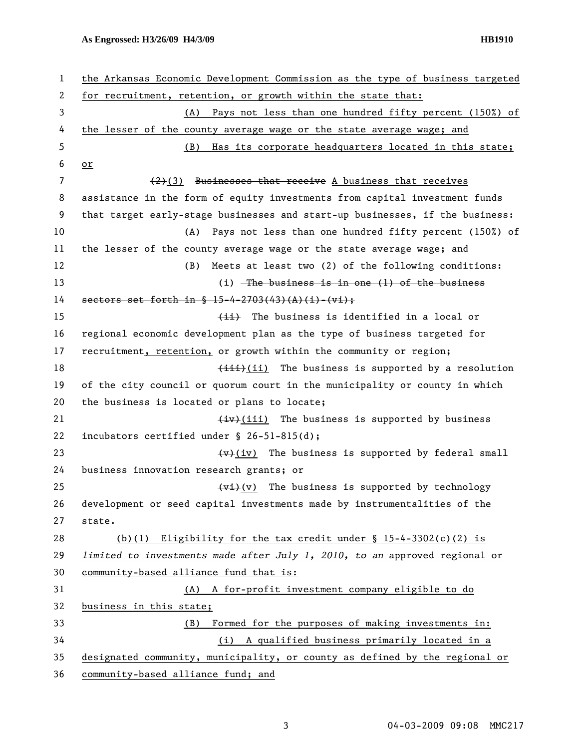## **As Engrossed: H3/26/09 H4/3/09 HB1910**

| 1  | the Arkansas Economic Development Commission as the type of business targeted |
|----|-------------------------------------------------------------------------------|
| 2  | for recruitment, retention, or growth within the state that:                  |
| 3  | (A) Pays not less than one hundred fifty percent (150%) of                    |
| 4  | the lesser of the county average wage or the state average wage; and          |
| 5  | Has its corporate headquarters located in this state;<br>(B)                  |
| 6  | $or$                                                                          |
| 7  | $(2)(3)$ Businesses that receive A business that receives                     |
| 8  | assistance in the form of equity investments from capital investment funds    |
| 9  | that target early-stage businesses and start-up businesses, if the business:  |
| 10 | Pays not less than one hundred fifty percent (150%) of<br>(A)                 |
| 11 | the lesser of the county average wage or the state average wage; and          |
| 12 | (B)<br>Meets at least two (2) of the following conditions:                    |
| 13 | (i) $-$ The business is in one (1) of the business                            |
| 14 | sectors set forth in $\frac{15-4-2703(43)(1)+1+1}{1}$                         |
| 15 | (ii) The business is identified in a local or                                 |
| 16 | regional economic development plan as the type of business targeted for       |
| 17 | recruitment, retention, or growth within the community or region;             |
| 18 | (iii) The business is supported by a resolution                               |
| 19 | of the city council or quorum court in the municipality or county in which    |
| 20 | the business is located or plans to locate;                                   |
| 21 | (iv)(iii) The business is supported by business                               |
| 22 | incubators certified under $\S$ 26-51-815(d);                                 |
| 23 | $\overline{(v)(iv)}$ The business is supported by federal small               |
| 24 | business innovation research grants; or                                       |
| 25 | $\overline{(v_i)}(v)$ The business is supported by technology                 |
| 26 | development or seed capital investments made by instrumentalities of the      |
| 27 | state.                                                                        |
| 28 | (b)(1) Eligibility for the tax credit under $\S$ 15-4-3302(c)(2) is           |
| 29 | limited to investments made after July 1, 2010, to an approved regional or    |
| 30 | community-based alliance fund that is:                                        |
| 31 | (A) A for-profit investment company eligible to do                            |
| 32 | business in this state;                                                       |
| 33 | Formed for the purposes of making investments in:<br>(B)                      |
| 34 | (i) A qualified business primarily located in a                               |
| 35 | designated community, municipality, or county as defined by the regional or   |
| 36 | community-based alliance fund; and                                            |

3 04-03-2009 09:08 MMC217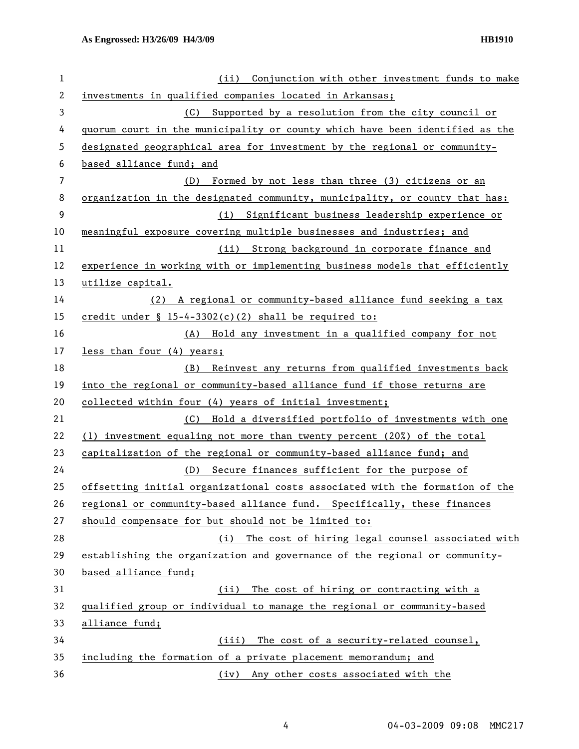| 1  | Conjunction with other investment funds to make<br>(ii)                      |
|----|------------------------------------------------------------------------------|
| 2  | investments in qualified companies located in Arkansas;                      |
| 3  | (C) Supported by a resolution from the city council or                       |
| 4  | quorum court in the municipality or county which have been identified as the |
| 5  | designated geographical area for investment by the regional or community-    |
| 6  | based alliance fund; and                                                     |
| 7  | (D) Formed by not less than three (3) citizens or an                         |
| 8  | organization in the designated community, municipality, or county that has:  |
| 9  | (i) Significant business leadership experience or                            |
| 10 | meaningful exposure covering multiple businesses and industries; and         |
| 11 | (ii) Strong background in corporate finance and                              |
| 12 | experience in working with or implementing business models that efficiently  |
| 13 | utilize capital.                                                             |
| 14 | (2) A regional or community-based alliance fund seeking a tax                |
| 15 | credit under $\S$ 15-4-3302(c)(2) shall be required to:                      |
| 16 | (A) Hold any investment in a qualified company for not                       |
| 17 | less than four (4) years;                                                    |
| 18 | Reinvest any returns from qualified investments back<br>(B)                  |
| 19 | into the regional or community-based alliance fund if those returns are      |
| 20 | collected within four (4) years of initial investment;                       |
| 21 | (C) Hold a diversified portfolio of investments with one                     |
| 22 | (1) investment equaling not more than twenty percent (20%) of the total      |
| 23 | capitalization of the regional or community-based alliance fund; and         |
| 24 | Secure finances sufficient for the purpose of<br>(D)                         |
| 25 | offsetting initial organizational costs associated with the formation of the |
| 26 | regional or community-based alliance fund. Specifically, these finances      |
| 27 | should compensate for but should not be limited to:                          |
| 28 | The cost of hiring legal counsel associated with<br>(i)                      |
| 29 | establishing the organization and governance of the regional or community-   |
| 30 | based alliance fund;                                                         |
| 31 | The cost of hiring or contracting with a<br>(ii)                             |
| 32 | qualified group or individual to manage the regional or community-based      |
| 33 | alliance fund;                                                               |
| 34 | (iii)<br>The cost of a security-related counsel,                             |
| 35 | including the formation of a private placement memorandum; and               |
| 36 | (iv) Any other costs associated with the                                     |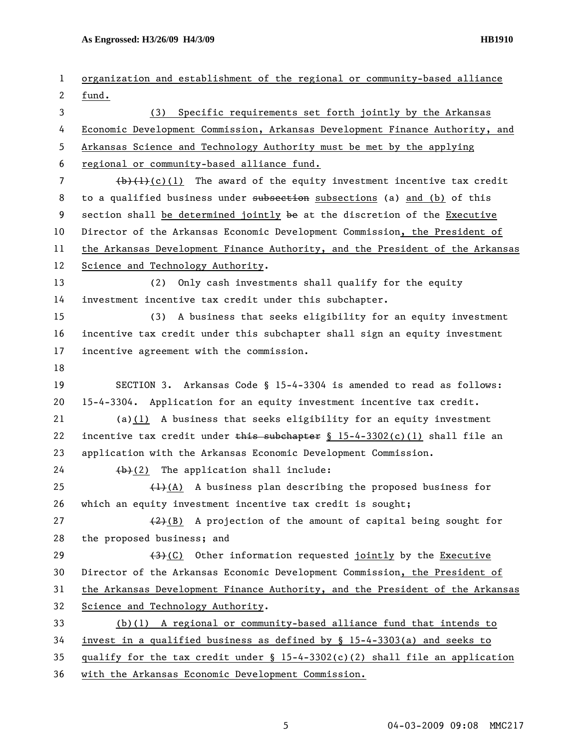**As Engrossed: H3/26/09 H4/3/09 HB1910** 

| 1  | organization and establishment of the regional or community-based alliance      |
|----|---------------------------------------------------------------------------------|
| 2  | fund.                                                                           |
| 3  | (3) Specific requirements set forth jointly by the Arkansas                     |
| 4  | Economic Development Commission, Arkansas Development Finance Authority, and    |
| 5  | Arkansas Science and Technology Authority must be met by the applying           |
| 6  | regional or community-based alliance fund.                                      |
| 7  | $(\frac{1}{2})$ (c)(1) The award of the equity investment incentive tax credit  |
| 8  | to a qualified business under subsection subsections (a) and (b) of this        |
| 9  | section shall be determined jointly be at the discretion of the Executive       |
| 10 | Director of the Arkansas Economic Development Commission, the President of      |
| 11 | the Arkansas Development Finance Authority, and the President of the Arkansas   |
| 12 | Science and Technology Authority.                                               |
| 13 | Only cash investments shall qualify for the equity<br>(2)                       |
| 14 | investment incentive tax credit under this subchapter.                          |
| 15 | (3) A business that seeks eligibility for an equity investment                  |
| 16 | incentive tax credit under this subchapter shall sign an equity investment      |
| 17 | incentive agreement with the commission.                                        |
| 18 |                                                                                 |
| 19 | SECTION 3. Arkansas Code § 15-4-3304 is amended to read as follows:             |
| 20 | 15-4-3304. Application for an equity investment incentive tax credit.           |
| 21 | $(a)(1)$ A business that seeks eligibility for an equity investment             |
| 22 | incentive tax credit under this subchapter $\S 15-4-3302(c)(1)$ shall file an   |
| 23 | application with the Arkansas Economic Development Commission.                  |
| 24 | $(b)$ (2) The application shall include:                                        |
| 25 | $(1)$ (A) A business plan describing the proposed business for                  |
| 26 | which an equity investment incentive tax credit is sought;                      |
| 27 | $(2)$ (B) A projection of the amount of capital being sought for                |
| 28 | the proposed business; and                                                      |
| 29 | $(3)$ (C) Other information requested jointly by the Executive                  |
| 30 | Director of the Arkansas Economic Development Commission, the President of      |
| 31 | the Arkansas Development Finance Authority, and the President of the Arkansas   |
| 32 | Science and Technology Authority.                                               |
| 33 | $(b)(1)$ A regional or community-based alliance fund that intends to            |
| 34 | invest in a qualified business as defined by $\S$ 15-4-3303(a) and seeks to     |
| 35 | qualify for the tax credit under $\S$ 15-4-3302(c)(2) shall file an application |
| 36 | with the Arkansas Economic Development Commission.                              |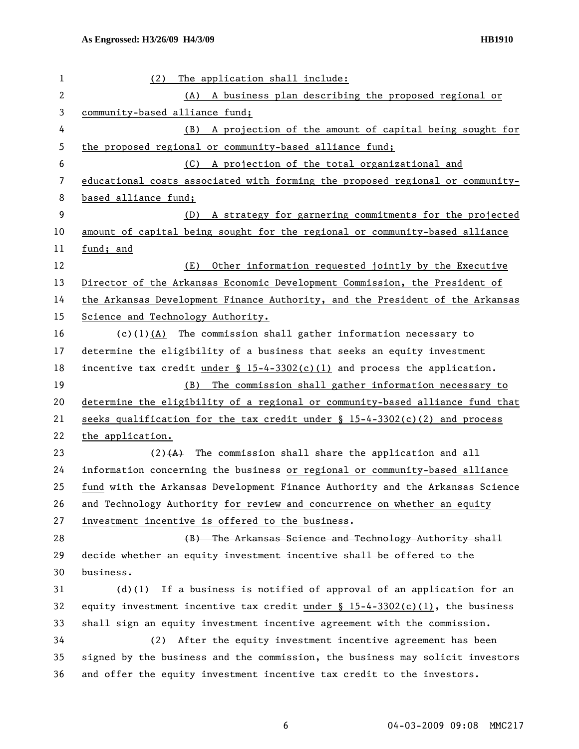| $\mathbf 1$  | The application shall include:<br>(2)                                            |
|--------------|----------------------------------------------------------------------------------|
| $\mathbf{2}$ | (A) A business plan describing the proposed regional or                          |
| 3            | community-based alliance fund;                                                   |
| 4            | A projection of the amount of capital being sought for<br>(B)                    |
| 5            | the proposed regional or community-based alliance fund;                          |
| 6            | A projection of the total organizational and<br>(C)                              |
| 7            | educational costs associated with forming the proposed regional or community-    |
| 8            | based alliance fund;                                                             |
| 9            | A strategy for garnering commitments for the projected<br>(D)                    |
| 10           | amount of capital being sought for the regional or community-based alliance      |
| 11           | fund; and                                                                        |
| 12           | (E)<br>Other information requested jointly by the Executive                      |
| 13           | Director of the Arkansas Economic Development Commission, the President of       |
| 14           | the Arkansas Development Finance Authority, and the President of the Arkansas    |
| 15           | Science and Technology Authority.                                                |
| 16           | (c)(1) $(A)$ The commission shall gather information necessary to                |
| 17           | determine the eligibility of a business that seeks an equity investment          |
| 18           | incentive tax credit under $$ 15-4-3302(c)(1)$ and process the application.      |
| 19           | The commission shall gather information necessary to<br>(B)                      |
| 20           | determine the eligibility of a regional or community-based alliance fund that    |
| 21           | seeks qualification for the tax credit under $\S$ 15-4-3302(c)(2) and process    |
|              |                                                                                  |
| 22           | the application.                                                                 |
| 23           | $(2)$ $(A)$ The commission shall share the application and all                   |
| 24           | information concerning the business or regional or community-based alliance      |
| 25           | fund with the Arkansas Development Finance Authority and the Arkansas Science    |
| 26           | and Technology Authority for review and concurrence on whether an equity         |
| 27           | investment incentive is offered to the business.                                 |
| 28           | (B) The Arkansas Science and Technology Authority shall                          |
| 29           | decide whether an equity investment incentive shall be offered to the            |
| 30           | business.                                                                        |
| 31           | If a business is notified of approval of an application for an<br>$(d)$ (1)      |
| 32           | equity investment incentive tax credit under $\S 15-4-3302(c)(1)$ , the business |
| 33           | shall sign an equity investment incentive agreement with the commission.         |
| 34           | After the equity investment incentive agreement has been<br>(2)                  |
| 35           | signed by the business and the commission, the business may solicit investors    |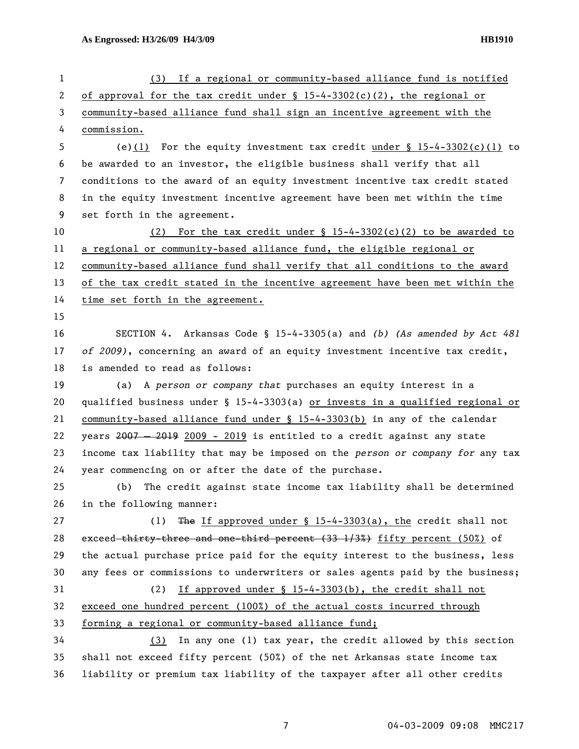| 1              | If a regional or community-based alliance fund is notified<br>(3)             |
|----------------|-------------------------------------------------------------------------------|
| 2              | of approval for the tax credit under $\S 15-4-3302(c)(2)$ , the regional or   |
| 3              | community-based alliance fund shall sign an incentive agreement with the      |
| 4              | commission.                                                                   |
| 5              | (e)(1) For the equity investment tax credit under $\S$ 15-4-3302(c)(1) to     |
| 6              | be awarded to an investor, the eligible business shall verify that all        |
| $\overline{7}$ | conditions to the award of an equity investment incentive tax credit stated   |
| 8              | in the equity investment incentive agreement have been met within the time    |
| 9              | set forth in the agreement.                                                   |
| 10             | (2) For the tax credit under $\S$ 15-4-3302(c)(2) to be awarded to            |
| 11             | a regional or community-based alliance fund, the eligible regional or         |
| 12             | community-based alliance fund shall verify that all conditions to the award   |
| 13             | of the tax credit stated in the incentive agreement have been met within the  |
| 14             | time set forth in the agreement.                                              |
| 15             |                                                                               |
| 16             | SECTION 4. Arkansas Code § 15-4-3305(a) and (b) (As amended by Act 481        |
| 17             | of 2009), concerning an award of an equity investment incentive tax credit,   |
| 18             | is amended to read as follows:                                                |
| 19             | A person or company that purchases an equity interest in a<br>(a)             |
| 20             | qualified business under § 15-4-3303(a) or invests in a qualified regional or |
| 21             | community-based alliance fund under § 15-4-3303(b) in any of the calendar     |
| 22             | years 2007 - 2019 2009 - 2019 is entitled to a credit against any state       |
| 23             | income tax liability that may be imposed on the person or company for any tax |
| 24             | year commencing on or after the date of the purchase.                         |
| 25             | The credit against state income tax liability shall be determined<br>(b)      |
| 26             | in the following manner:                                                      |
| 27             | The If approved under $\S$ 15-4-3303(a), the credit shall not<br>(1)          |
| 28             | exceed thirty three and one third percent (33 1/3%) fifty percent (50%) of    |
| 29             | the actual purchase price paid for the equity interest to the business, less  |
| 30             | any fees or commissions to underwriters or sales agents paid by the business; |
| 31             | (2)<br>If approved under § 15-4-3303(b), the credit shall not                 |
| 32             | exceed one hundred percent (100%) of the actual costs incurred through        |
| 33             | forming a regional or community-based alliance fund;                          |
| 34             | In any one (1) tax year, the credit allowed by this section<br>(3)            |
| 35             | shall not exceed fifty percent (50%) of the net Arkansas state income tax     |
| 36             | liability or premium tax liability of the taxpayer after all other credits    |